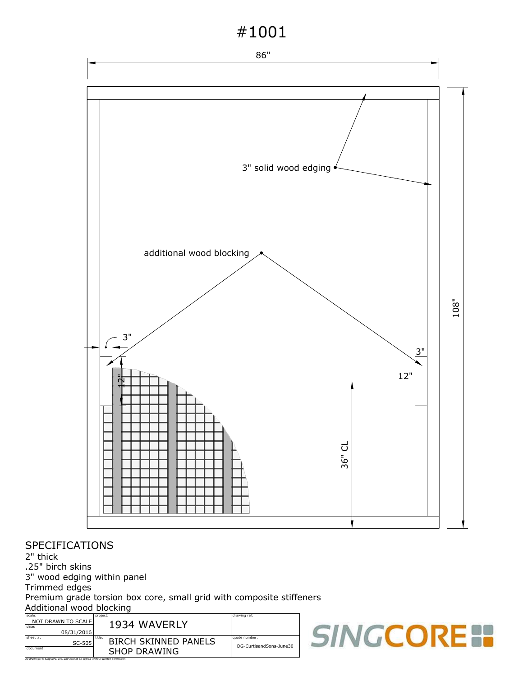# #1001



#### SPECIFICATIONS

2" thick

.25" birch skins

3" wood edging within panel

Trimmed edges

Premium grade torsion box core, small grid with composite stiffeners Additional wood blocking

| scale:                                                                         | project:                              | drawing ref:            |   |  |  |
|--------------------------------------------------------------------------------|---------------------------------------|-------------------------|---|--|--|
| NOT DRAWN TO SCALE<br>date:<br>08/31/2016                                      | 1934 WAVERLY                          |                         |   |  |  |
| $s$ heet#:<br>SC-505                                                           | title:<br><b>BIRCH SKINNED PANELS</b> | quote number:           | m |  |  |
| document:                                                                      | <b>SHOP DRAWING</b>                   | DG-CurtisandSons-June30 |   |  |  |
| All drawings C SingCore, Inc. and cannot be copied without written permission. |                                       |                         |   |  |  |

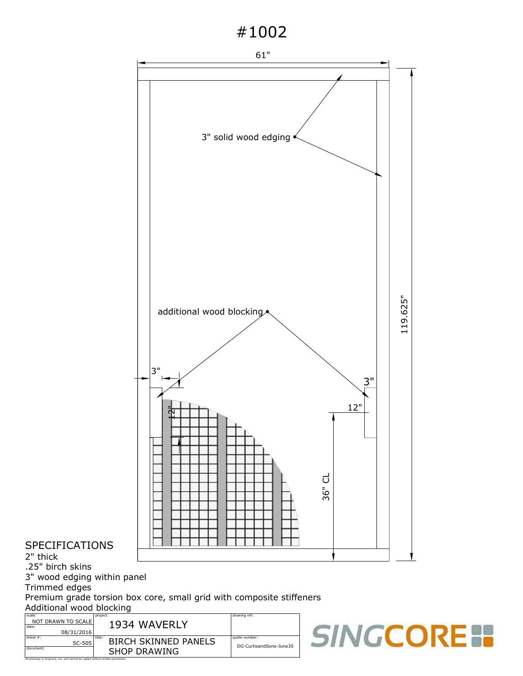### #1002



SHOP DRAWING All drawings © SingCore, Inc. and cannot be copied without written permission.

2" thick

 $_{\text{SC-505}}$   $\blacksquare$  BIRCH SKINNED PANELS  $\blacksquare$